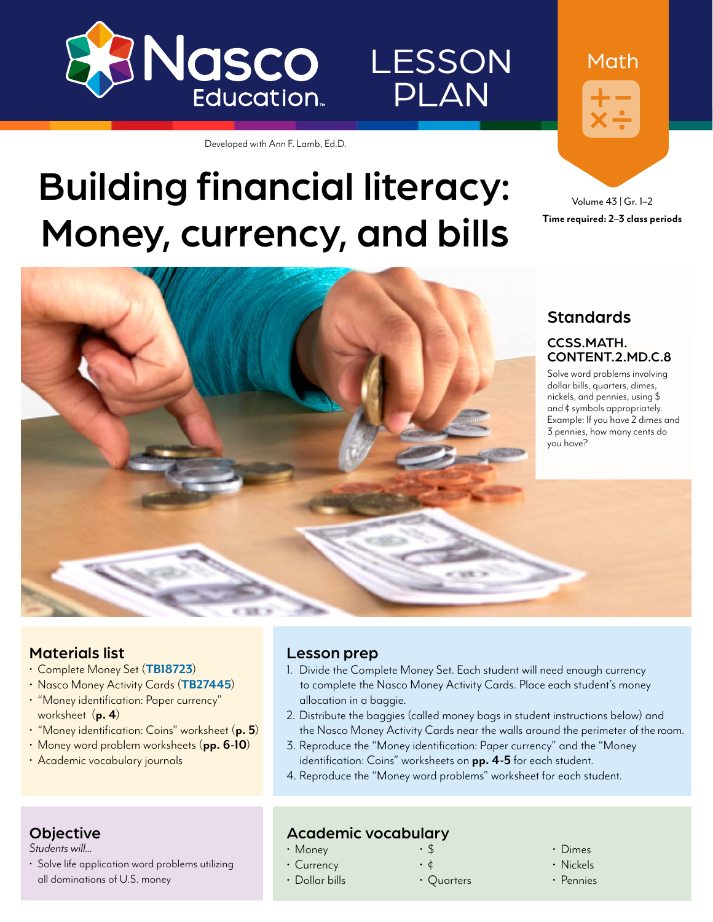

## LESSON PLAN

Developed with Ann F. Lamb, Ed.D.

# Building financial literacy: Money, currency, and bills

Volume 43 | Gr. 1–2



#### Materials list

- Complete Money Set (**[TB18723](https://www.enasco.com/p/TB18723)**)
- Nasco Money Activity Cards (**[TB27445](https://www.enasco.com/p/TB27445)**)
- "Money identification: Paper currency" worksheet (**p. 4**)
- "Money identification: Coins" worksheet (**p. 5**)
- Money word problem worksheets (**pp. 6-10**)
- Academic vocabulary journals

#### Lesson prep

- 1. Divide the Complete Money Set. Each student will need enough currency to complete the Nasco Money Activity Cards. Place each student's money allocation in a baggie.
- 2. Distribute the baggies (called money bags in student instructions below) and the Nasco Money Activity Cards near the walls around the perimeter of the room.
- 3. Reproduce the "Money identification: Paper currency" and the "Money identification: Coins" worksheets on **pp. 4-5** for each student.
- 4. Reproduce the "Money word problems" worksheet for each student.

#### **Objective**

*Students will...*

• Solve life application word problems utilizing all dominations of U.S. money

#### Academic vocabulary

- Money
- Currency
- Dollar bills

• Quarters

- Dimes
- Nickels
- Pennies



Math

• \$ • ¢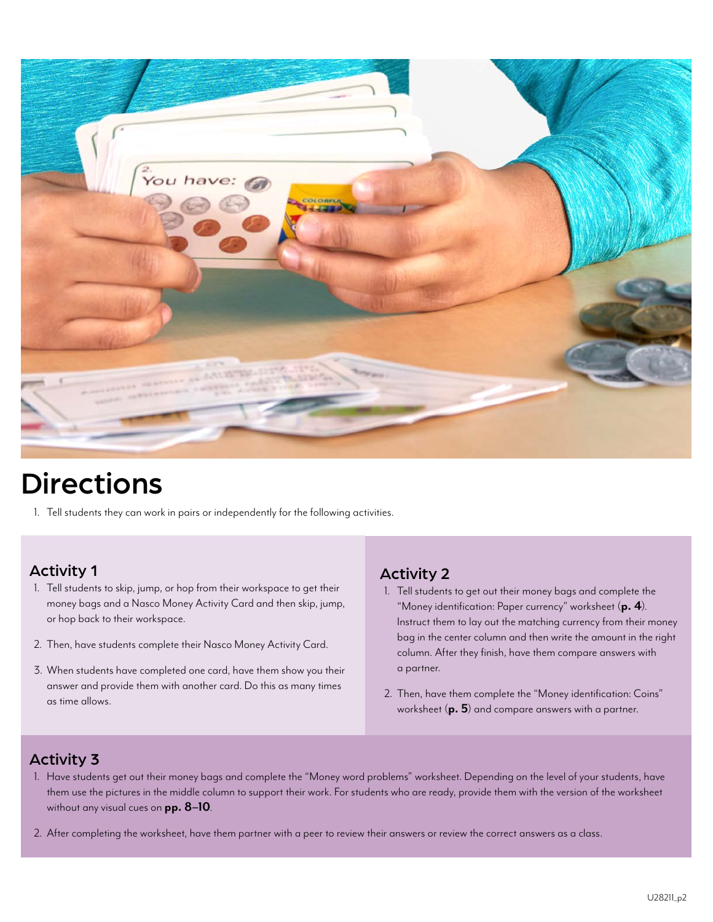

## Directions

1. Tell students they can work in pairs or independently for the following activities.

#### Activity 1

- 1. Tell students to skip, jump, or hop from their workspace to get their money bags and a Nasco Money Activity Card and then skip, jump, or hop back to their workspace.
- 2. Then, have students complete their Nasco Money Activity Card.
- 3. When students have completed one card, have them show you their answer and provide them with another card. Do this as many times as time allows.

#### Activity 2

- 1. Tell students to get out their money bags and complete the "Money identification: Paper currency" worksheet (**p. 4**). Instruct them to lay out the matching currency from their money bag in the center column and then write the amount in the right column. After they finish, have them compare answers with a partner.
- 2. Then, have them complete the "Money identification: Coins" worksheet (**p. 5**) and compare answers with a partner.

#### Activity 3

- 1. Have students get out their money bags and complete the "Money word problems" worksheet. Depending on the level of your students, have them use the pictures in the middle column to support their work. For students who are ready, provide them with the version of the worksheet without any visual cues on **pp. 8–10**.
- 2. After completing the worksheet, have them partner with a peer to review their answers or review the correct answers as a class.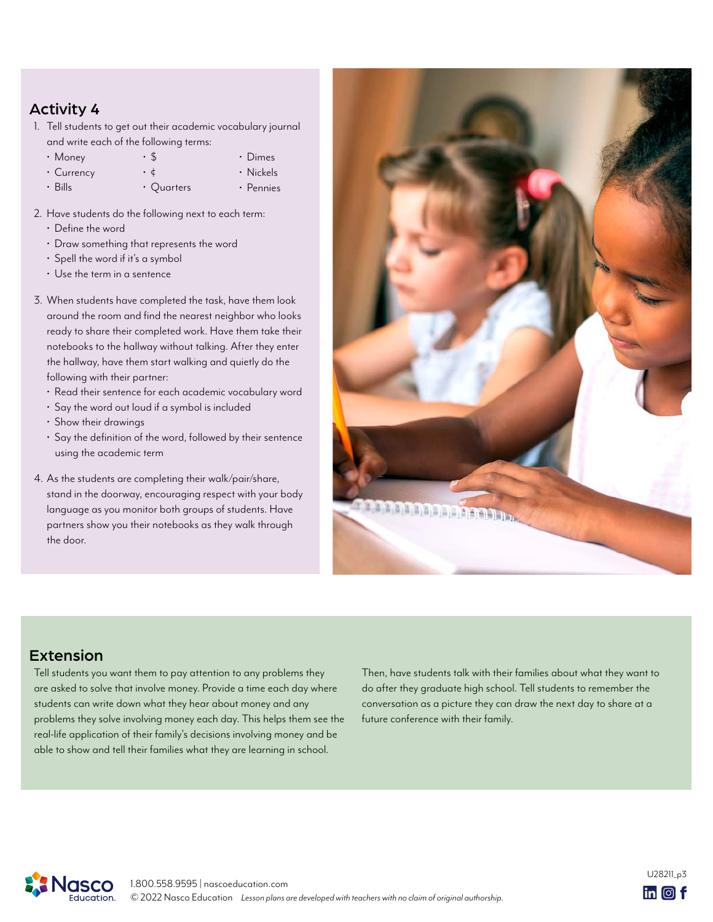#### Activity 4

- 1. Tell students to get out their academic vocabulary journal and write each of the following terms:
	- Money • \$ • Dimes
	- Currency • ¢
	- Bills • Quarters
- Nickels • Pennies
- 2. Have students do the following next to each term:
	- Define the word
	- Draw something that represents the word
	- Spell the word if it's a symbol
	- Use the term in a sentence
- 3. When students have completed the task, have them look around the room and find the nearest neighbor who looks ready to share their completed work. Have them take their notebooks to the hallway without talking. After they enter the hallway, have them start walking and quietly do the following with their partner:
	- Read their sentence for each academic vocabulary word
	- Say the word out loud if a symbol is included
	- Show their drawings
	- Say the definition of the word, followed by their sentence using the academic term
- 4. As the students are completing their walk/pair/share, stand in the doorway, encouraging respect with your body language as you monitor both groups of students. Have partners show you their notebooks as they walk through the door.



#### Extension

Tell students you want them to pay attention to any problems they are asked to solve that involve money. Provide a time each day where students can write down what they hear about money and any problems they solve involving money each day. This helps them see the real-life application of their family's decisions involving money and be able to show and tell their families what they are learning in school.

Then, have students talk with their families about what they want to do after they graduate high school. Tell students to remember the conversation as a picture they can draw the next day to share at a future conference with their family.

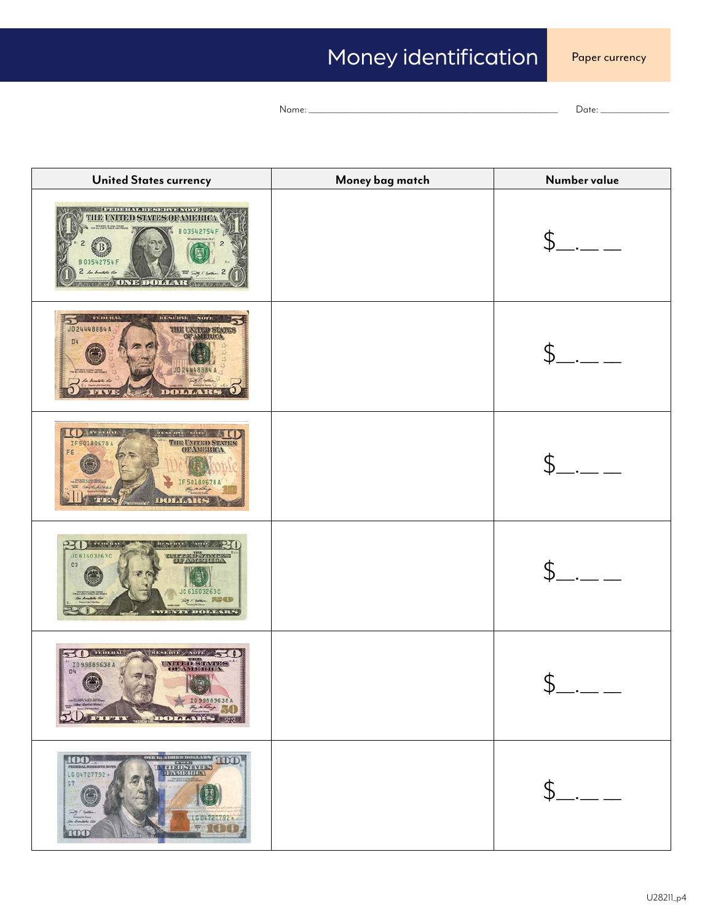## Money identification

Name: \_\_\_\_\_\_\_\_\_\_\_\_\_\_\_\_\_\_\_\_\_\_\_\_\_\_\_\_\_\_\_\_\_\_\_\_\_\_\_\_\_\_\_\_\_\_\_\_\_\_\_\_\_\_\_\_\_\_\_\_\_\_\_\_\_\_\_\_\_ Date: \_\_\_\_\_\_\_\_\_\_\_\_\_\_\_\_\_\_\_

| <b>United States currency</b>                                                                                                                                                  | Money bag match | Number value   |
|--------------------------------------------------------------------------------------------------------------------------------------------------------------------------------|-----------------|----------------|
| <b>STEP AND A PERSONAL PROPERTY</b><br>THE UNITED STATES OF AMERICA<br>3542754F<br>03542754F<br>2 baballado<br><b>A A ROONE DOLLAR OF A A R</b>                                |                 |                |
| RESERVE<br><b>РЕГИЗИАТ.</b><br>$N$ CFT3<br>JD 24448884 A<br><b>OF AMERIC</b><br>D4<br>JO 24448884 A<br>la hartete des<br>DOLLARS                                               |                 |                |
| <b>PEDERAL</b><br>RESERVE NOTE<br><b>THE UNITED STATES</b><br>IF 50180678 A<br>F6<br>IF 50180678 A<br>Kathelike<br>they taken<br><b>MUSA</b><br>DOLLARS                        |                 |                |
| P<br>талинат<br><b>ITEMPRETE</b><br>NQTT<br>JC 61603263C<br><b>DATEED TAXESE</b><br>C3<br>JC 61603263C<br><b>Ryram REED</b><br>Con Branchista Fisc<br><b>TWEEN IN DOMENIES</b> |                 | $\mathbb{S}$ . |
| $50$ $\mu$ $m$<br><b>RESERVE ACTS</b><br><b>UNITED STATES</b><br>ID99889638A<br><b>ОРАМБИТСА</b><br>D4<br>美美<br>X 1099889638A<br>50 mm monus                                   |                 | - 5 -          |
| <b>EXAMPLE 100</b><br>100<br>LG 04727792 +<br><b>CARL CARD CLASS ROOM</b><br>C7<br>$7 - 76$<br>LC04727792<br>lar kumbola ila<br>700<br>roop                                    |                 | $\mathcal{S}$  |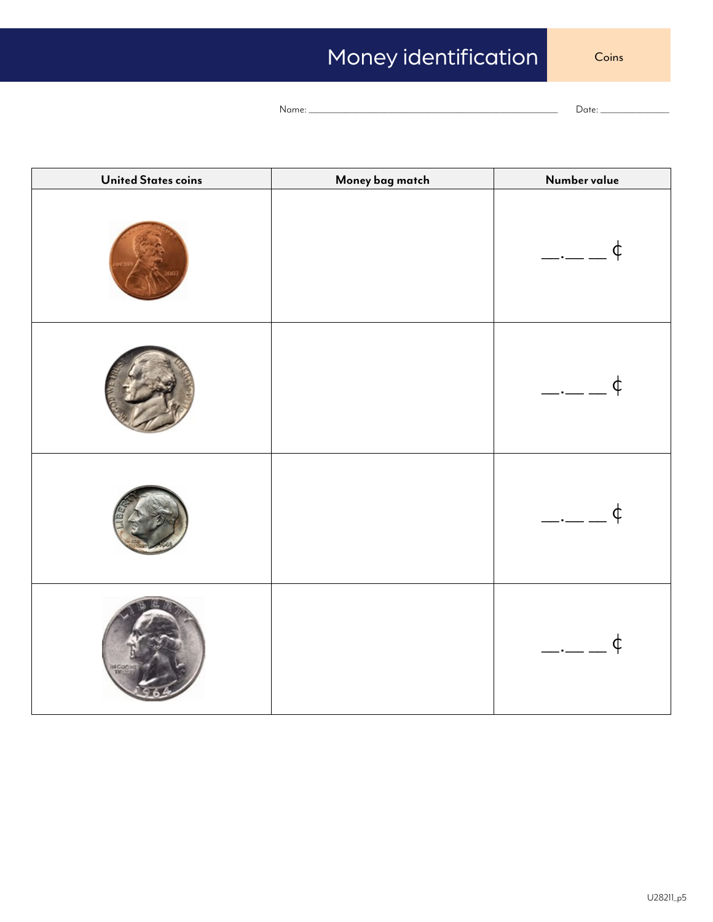## Money identification

Coins

Name: \_\_\_\_\_\_\_\_\_\_\_\_\_\_\_\_\_\_\_\_\_\_\_\_\_\_\_\_\_\_\_\_\_\_\_\_\_\_\_\_\_\_\_\_\_\_\_\_\_\_\_\_\_\_\_\_\_\_\_\_\_\_\_\_\_\_\_\_\_ Date: \_\_\_\_\_\_\_\_\_\_\_\_\_\_\_\_\_\_\_

| <b>United States coins</b> | Money bag match | Number value                       |
|----------------------------|-----------------|------------------------------------|
|                            |                 | ¢<br>$\overline{\phantom{a}}$      |
|                            |                 | $\phi$<br>$\overline{\phantom{a}}$ |
|                            |                 | $\phi$<br>$\overline{\phantom{a}}$ |
|                            |                 | $\overline{\phantom{a}}$<br>¢      |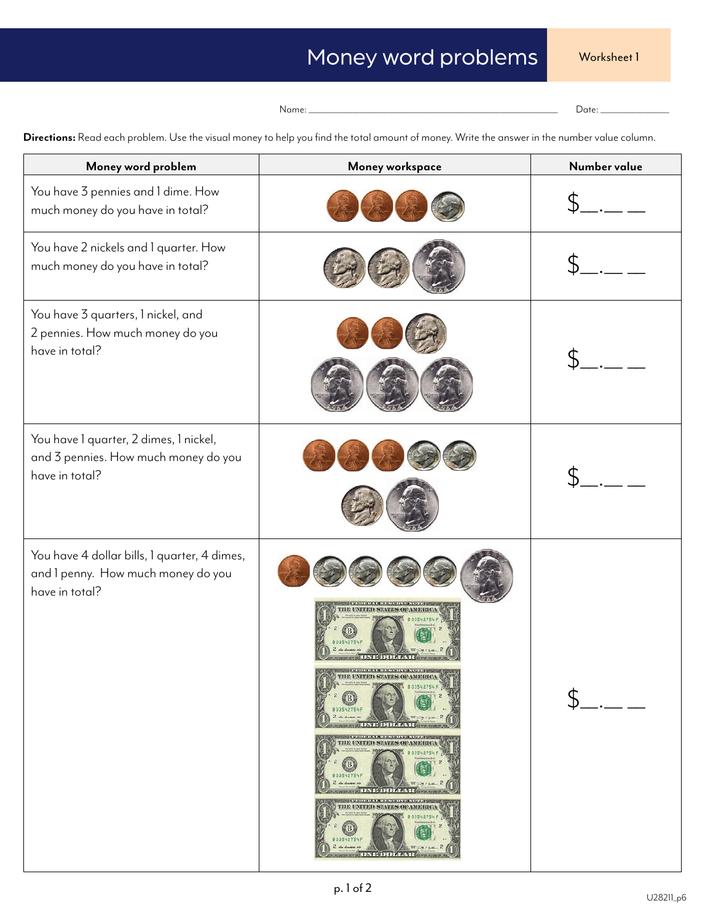```
Name: _____________________________________________________________________ Date: ___________________
```

| Money word problem                                                                                   | Money workspace                                                                                                                                                                                                                                                                                                                                                                                                                                                                                                                                                                                                                                | Number value |
|------------------------------------------------------------------------------------------------------|------------------------------------------------------------------------------------------------------------------------------------------------------------------------------------------------------------------------------------------------------------------------------------------------------------------------------------------------------------------------------------------------------------------------------------------------------------------------------------------------------------------------------------------------------------------------------------------------------------------------------------------------|--------------|
| You have 3 pennies and 1 dime. How<br>much money do you have in total?                               |                                                                                                                                                                                                                                                                                                                                                                                                                                                                                                                                                                                                                                                |              |
| You have 2 nickels and 1 quarter. How<br>much money do you have in total?                            |                                                                                                                                                                                                                                                                                                                                                                                                                                                                                                                                                                                                                                                |              |
| You have 3 quarters, 1 nickel, and<br>2 pennies. How much money do you<br>have in total?             |                                                                                                                                                                                                                                                                                                                                                                                                                                                                                                                                                                                                                                                |              |
| You have I quarter, 2 dimes, I nickel,<br>and 3 pennies. How much money do you<br>have in total?     |                                                                                                                                                                                                                                                                                                                                                                                                                                                                                                                                                                                                                                                |              |
| You have 4 dollar bills, 1 quarter, 4 dimes,<br>and I penny. How much money do you<br>have in total? | 1201010-0120-020-020-020-020-0<br>Первона и се на половина на селото на примере<br><b>THE UNITED STATES OF AMERICA</b><br>803542754<br>B)<br><b>Reveal</b><br>B03542754F<br>2.44<br><b>WEST COMPA</b><br><b>APAC DNE DOLLAR GELLA</b><br><b>NEW YORK OF A REAL PROPERTY OF A REAL PROPERTY</b><br>THE UNITED STATES OF AMERICA<br>803542754<br>ওয়া<br>B03542754F<br>$2 \nightharpoonup \nightharpoonup$<br><b>SECOND</b><br><b>ABOUT DESCRIPTION IN AN ARTISTS</b><br><b>CHILDREN ARTISTS AND ARTISTS</b><br>THE UNITED STATES OF AMERICA<br>803542754<br>KB)<br>B03542754F<br>2 de duces de<br><b>WORKSH</b><br><b>DATE DOLLAR OF BULLET</b> |              |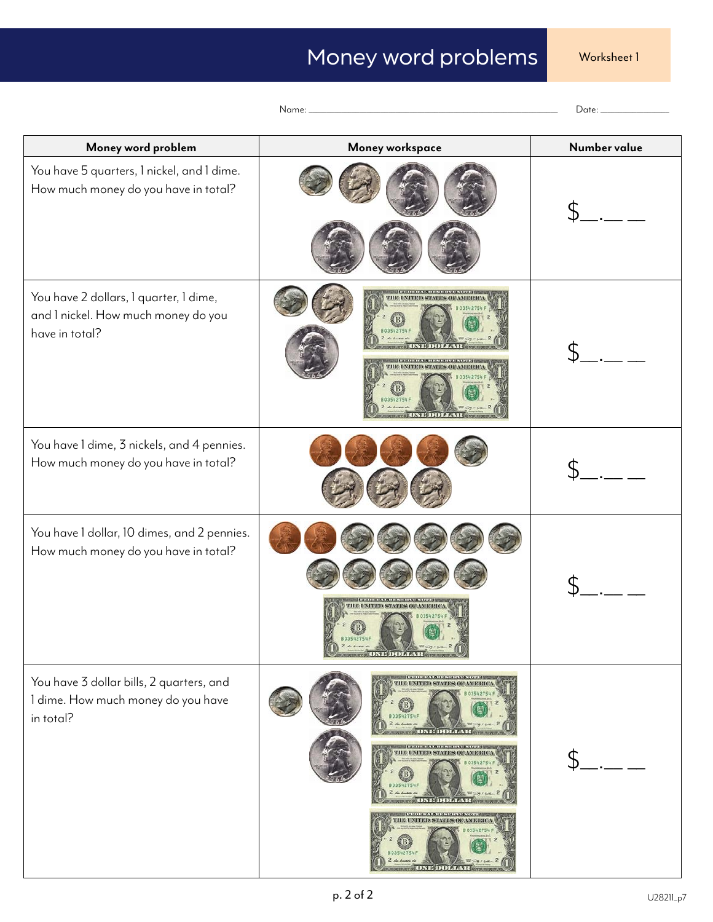| Money word problem                                                                              | Money workspace                                                                                                                                                                                                                                                             | Number value |
|-------------------------------------------------------------------------------------------------|-----------------------------------------------------------------------------------------------------------------------------------------------------------------------------------------------------------------------------------------------------------------------------|--------------|
| You have 5 quarters, 1 nickel, and 1 dime.<br>How much money do you have in total?              |                                                                                                                                                                                                                                                                             |              |
| You have 2 dollars, I quarter, I dime,<br>and I nickel. How much money do you<br>have in total? | <b>THE UNITED STATES OF AMERI</b><br><b>HE UNITED STATES OF AMERIC</b>                                                                                                                                                                                                      |              |
| You have 1 dime, 3 nickels, and 4 pennies.<br>How much money do you have in total?              |                                                                                                                                                                                                                                                                             |              |
| You have I dollar, 10 dimes, and 2 pennies.<br>How much money do you have in total?             | <b><i><u>INTERNATIONAL PROPERTY OF A STATE OF A STATE OF A STATE OF A STATE OF A STATE OF A STATE OF A STATE OF A STATE OF A STATE OF A STATE OF A STATE OF A STATE OF A STATE OF A STATE OF A ST</u></i></b><br>IE UNITED STATES OF AMERI<br>80354275<br><b>DY HOOF AN</b> |              |
| You have 3 dollar bills, 2 quarters, and<br>I dime. How much money do you have<br>in total?     | <b>IN A RELEASED FOR THE REPORT OF A RELEASED FOR THE </b><br>THE UNITED STATES OF AMERIC<br>03542754<br>и калантализация скаждую ани<br>THE UNITED STATES OF AMERI-<br><b>INVESTIGATION CONTINUES INTO A REPORT</b><br>THE UNITED STATES OF AMERIC                         |              |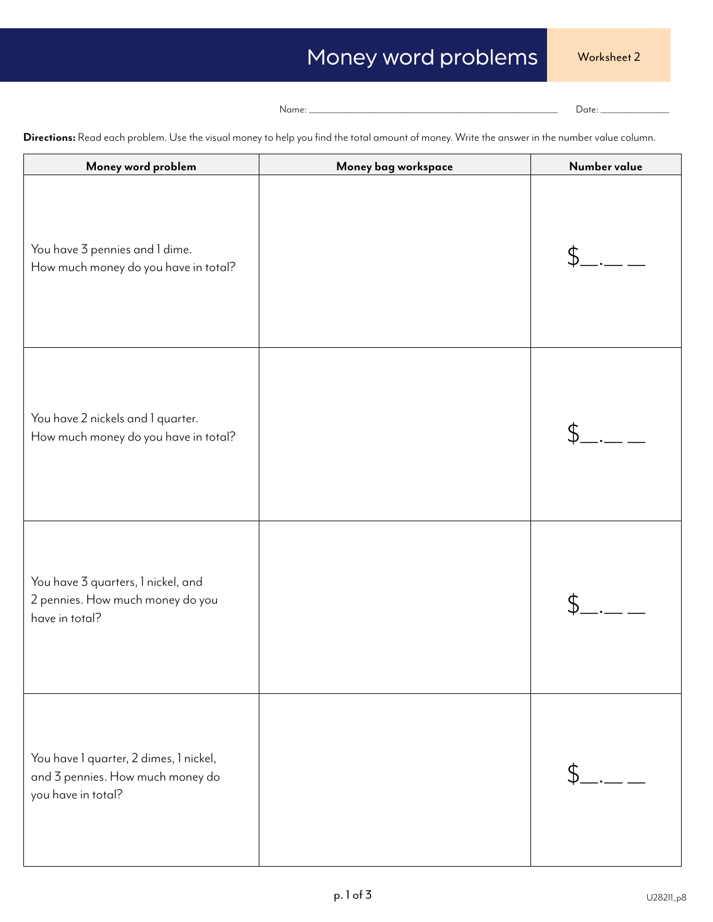Name: \_\_\_\_\_\_\_\_\_\_\_\_\_\_\_\_\_\_\_\_\_\_\_\_\_\_\_\_\_\_\_\_\_\_\_\_\_\_\_\_\_\_\_\_\_\_\_\_\_\_\_\_\_\_\_\_\_\_\_\_\_\_\_\_\_\_\_\_\_ Date: \_\_\_\_\_\_\_\_\_\_\_\_\_\_\_\_\_\_\_

| Money word problem                                                                               | Money bag workspace | Number value |
|--------------------------------------------------------------------------------------------------|---------------------|--------------|
| You have 3 pennies and 1 dime.<br>How much money do you have in total?                           |                     |              |
| You have 2 nickels and 1 quarter.<br>How much money do you have in total?                        |                     |              |
| You have 3 quarters, 1 nickel, and<br>2 pennies. How much money do you<br>have in total?         |                     |              |
| You have I quarter, 2 dimes, I nickel,<br>and 3 pennies. How much money do<br>you have in total? |                     |              |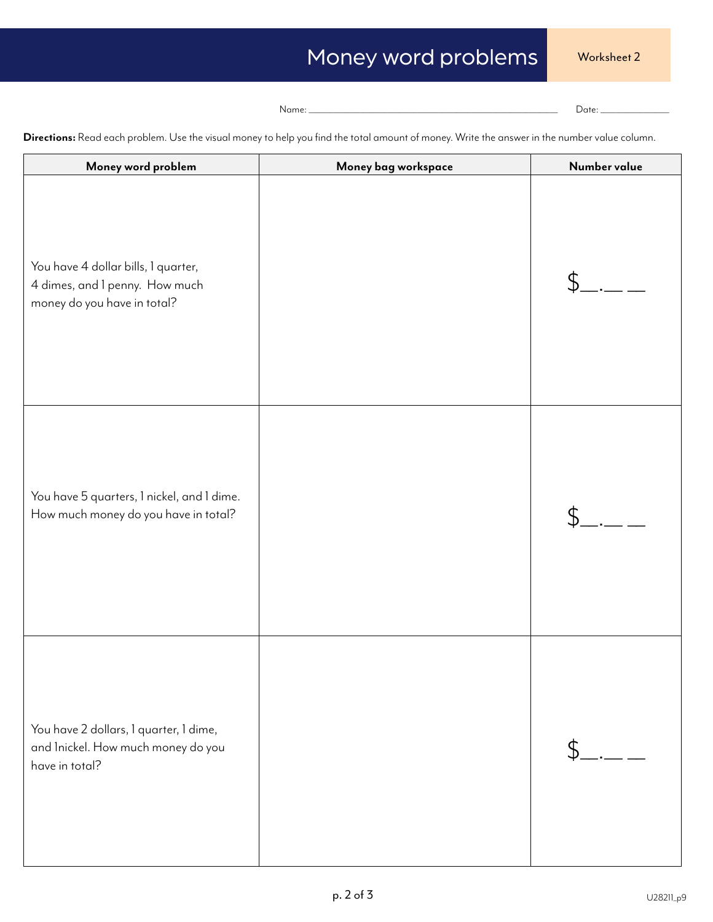Name: \_\_\_\_\_\_\_\_\_\_\_\_\_\_\_\_\_\_\_\_\_\_\_\_\_\_\_\_\_\_\_\_\_\_\_\_\_\_\_\_\_\_\_\_\_\_\_\_\_\_\_\_\_\_\_\_\_\_\_\_\_\_\_\_\_\_\_\_\_ Date: \_\_\_\_\_\_\_\_\_\_\_\_\_\_\_\_\_\_\_

| Money word problem                                                                                   | Money bag workspace | Number value |
|------------------------------------------------------------------------------------------------------|---------------------|--------------|
| You have 4 dollar bills, 1 quarter,<br>4 dimes, and I penny. How much<br>money do you have in total? |                     | \$           |
| You have 5 quarters, 1 nickel, and 1 dime.<br>How much money do you have in total?                   |                     | \$           |
| You have 2 dollars, I quarter, I dime,<br>and Inickel. How much money do you<br>have in total?       |                     | \$           |